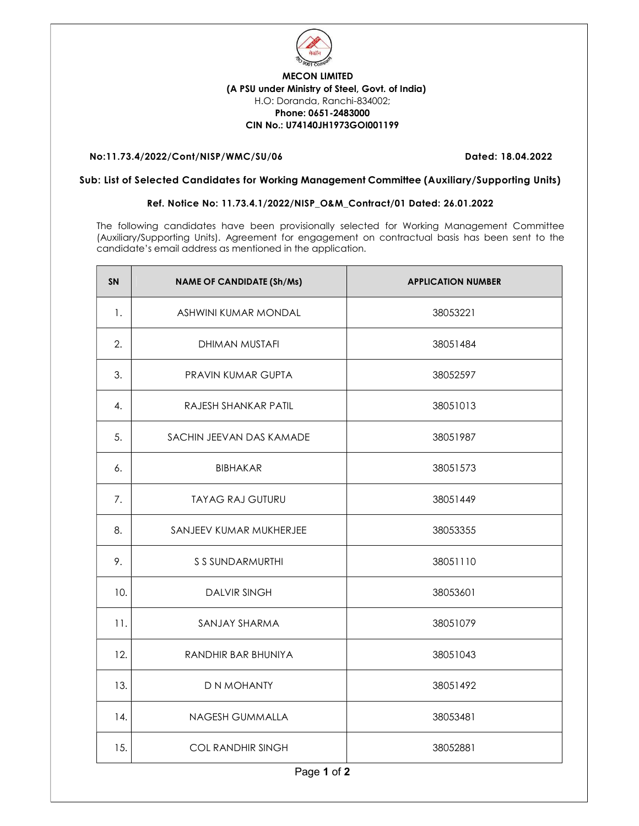

## MECON LIMITED (A PSU under Ministry of Steel, Govt. of India) H.O: Doranda, Ranchi-834002; Phone: 0651-2483000 CIN No.: U74140JH1973GOI001199

## No:11.73.4/2022/Cont/NISP/WMC/SU/06 Dated: 18.04.2022

## Sub: List of Selected Candidates for Working Management Committee (Auxiliary/Supporting Units)

## Ref. Notice No: 11.73.4.1/2022/NISP\_O&M\_Contract/01 Dated: 26.01.2022

The following candidates have been provisionally selected for Working Management Committee (Auxiliary/Supporting Units). Agreement for engagement on contractual basis has been sent to the candidate's email address as mentioned in the application.

| <b>SN</b>   | <b>NAME OF CANDIDATE (Sh/Ms)</b> | <b>APPLICATION NUMBER</b> |  |
|-------------|----------------------------------|---------------------------|--|
| 1.          | ASHWINI KUMAR MONDAL             | 38053221                  |  |
| 2.          | DHIMAN MUSTAFI                   | 38051484                  |  |
| 3.          | PRAVIN KUMAR GUPTA               | 38052597                  |  |
| 4.          | RAJESH SHANKAR PATIL             | 38051013                  |  |
| 5.          | SACHIN JEEVAN DAS KAMADE         | 38051987                  |  |
| 6.          | <b>BIBHAKAR</b>                  | 38051573                  |  |
| 7.          | <b>TAYAG RAJ GUTURU</b>          | 38051449                  |  |
| 8.          | SANJEEV KUMAR MUKHERJEE          | 38053355                  |  |
| 9.          | S S SUNDARMURTHI                 | 38051110                  |  |
| 10.         | <b>DALVIR SINGH</b>              | 38053601                  |  |
| 11.         | SANJAY SHARMA                    | 38051079                  |  |
| 12.         | RANDHIR BAR BHUNIYA              | 38051043                  |  |
| 13.         | D N MOHANTY                      | 38051492                  |  |
| 14.         | NAGESH GUMMALLA                  | 38053481                  |  |
| 15.         | <b>COL RANDHIR SINGH</b>         | 38052881                  |  |
| Page 1 of 2 |                                  |                           |  |